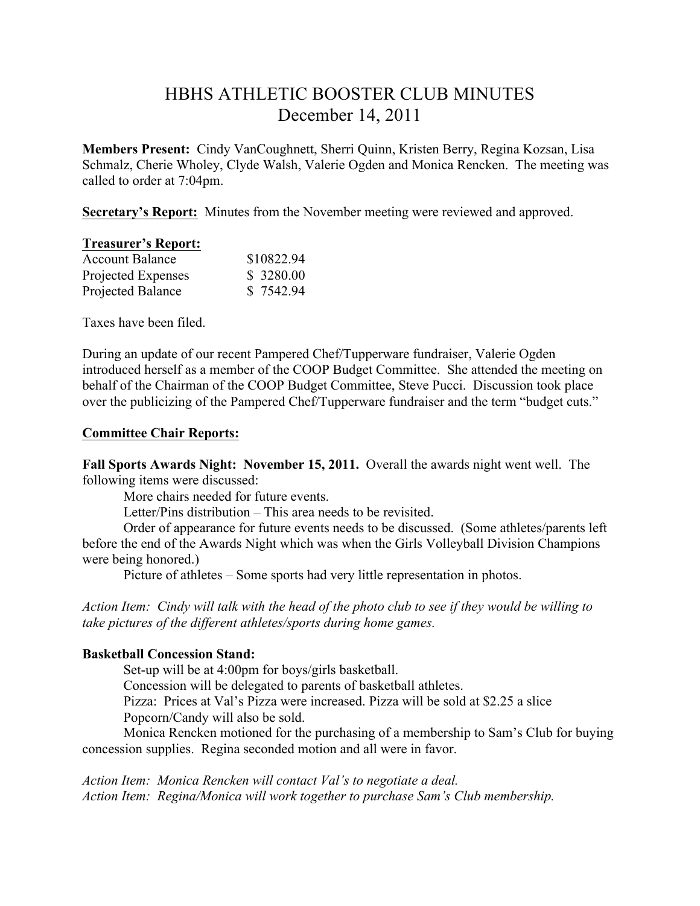# HBHS ATHLETIC BOOSTER CLUB MINUTES December 14, 2011

**Members Present:** Cindy VanCoughnett, Sherri Quinn, Kristen Berry, Regina Kozsan, Lisa Schmalz, Cherie Wholey, Clyde Walsh, Valerie Ogden and Monica Rencken. The meeting was called to order at 7:04pm.

**Secretary's Report:** Minutes from the November meeting were reviewed and approved.

| <b>Treasurer's Report:</b> |            |
|----------------------------|------------|
| <b>Account Balance</b>     | \$10822.94 |
| Projected Expenses         | \$ 3280.00 |
| Projected Balance          | \$7542.94  |

Taxes have been filed.

During an update of our recent Pampered Chef/Tupperware fundraiser, Valerie Ogden introduced herself as a member of the COOP Budget Committee. She attended the meeting on behalf of the Chairman of the COOP Budget Committee, Steve Pucci. Discussion took place over the publicizing of the Pampered Chef/Tupperware fundraiser and the term "budget cuts."

#### **Committee Chair Reports:**

**Fall Sports Awards Night: November 15, 2011.** Overall the awards night went well. The following items were discussed:

More chairs needed for future events.

Letter/Pins distribution – This area needs to be revisited.

Order of appearance for future events needs to be discussed. (Some athletes/parents left before the end of the Awards Night which was when the Girls Volleyball Division Champions were being honored.)

Picture of athletes – Some sports had very little representation in photos.

*Action Item: Cindy will talk with the head of the photo club to see if they would be willing to take pictures of the different athletes/sports during home games.* 

# **Basketball Concession Stand:**

Set-up will be at 4:00pm for boys/girls basketball. Concession will be delegated to parents of basketball athletes. Pizza: Prices at Val's Pizza were increased. Pizza will be sold at \$2.25 a slice Popcorn/Candy will also be sold.

Monica Rencken motioned for the purchasing of a membership to Sam's Club for buying concession supplies. Regina seconded motion and all were in favor.

*Action Item: Monica Rencken will contact Val's to negotiate a deal. Action Item: Regina/Monica will work together to purchase Sam's Club membership.*